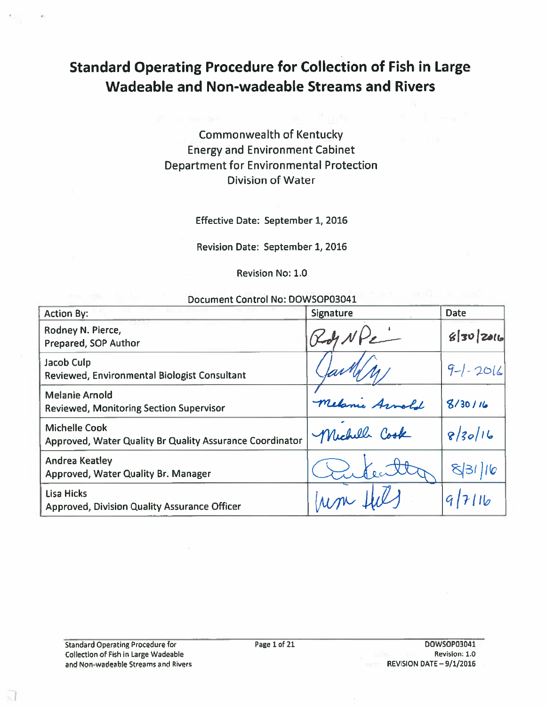# **Standard Operating Procedure for Collection of Fish in Large Wadeable and Non-wadeable Streams and Rivers**

**Commonwealth of Kentucky Energy and Environment Cabinet Department for Environmental Protection Division of Water** 

Effective Date: September 1, 2016

Revision Date: September 1, 2016

**Revision No: 1.0** 

Document Control No: DOWSOP03041

| <b>Action By:</b>                                                                | Signature    | Date         |
|----------------------------------------------------------------------------------|--------------|--------------|
| Rodney N. Pierce,<br>Prepared, SOP Author                                        |              | 850201       |
| Jacob Culp<br>Reviewed, Environmental Biologist Consultant                       |              | $9-1 - 2016$ |
| <b>Melanie Arnold</b><br><b>Reviewed, Monitoring Section Supervisor</b>          | Melanie As   | 8/30/16      |
| <b>Michelle Cook</b><br>Approved, Water Quality Br Quality Assurance Coordinator | Michell Cook | 8/30/16      |
| <b>Andrea Keatley</b><br>Approved, Water Quality Br. Manager                     |              |              |
| Lisa Hicks<br><b>Approved, Division Quality Assurance Officer</b>                |              |              |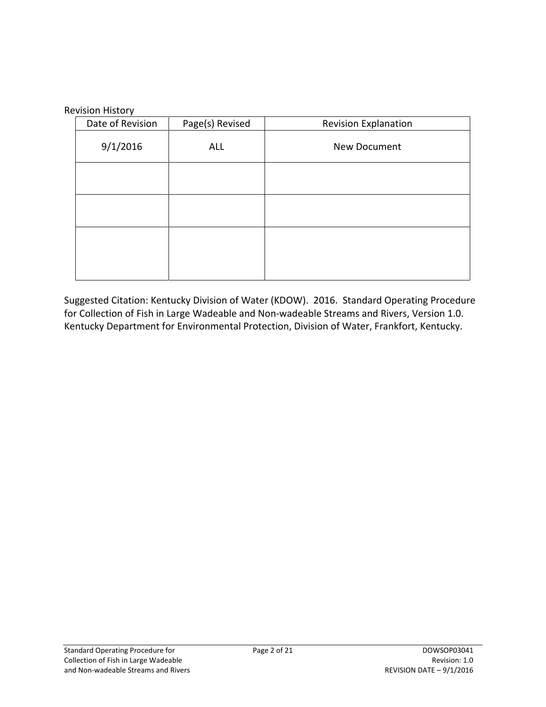#### Revision History

| $\epsilon$<br>Date of Revision | Page(s) Revised | <b>Revision Explanation</b> |
|--------------------------------|-----------------|-----------------------------|
| 9/1/2016                       | ALL             | New Document                |
|                                |                 |                             |
|                                |                 |                             |
|                                |                 |                             |
|                                |                 |                             |

Suggested Citation: Kentucky Division of Water (KDOW). 2016. Standard Operating Procedure for Collection of Fish in Large Wadeable and Non-wadeable Streams and Rivers, Version 1.0. Kentucky Department for Environmental Protection, Division of Water, Frankfort, Kentucky.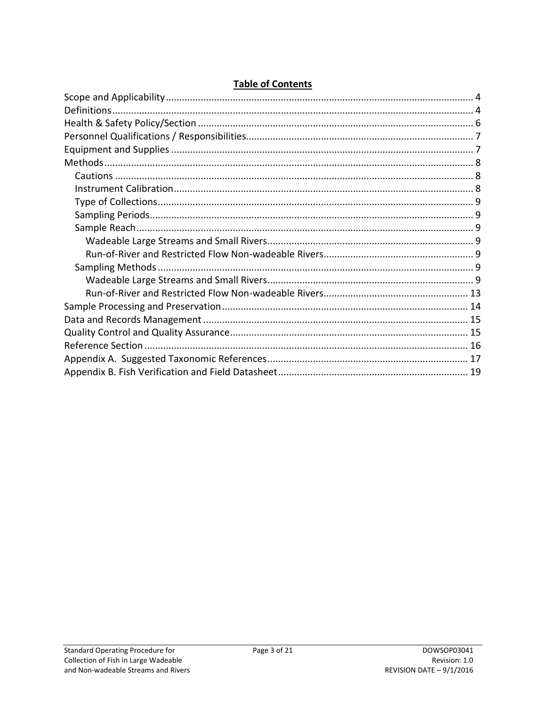|--|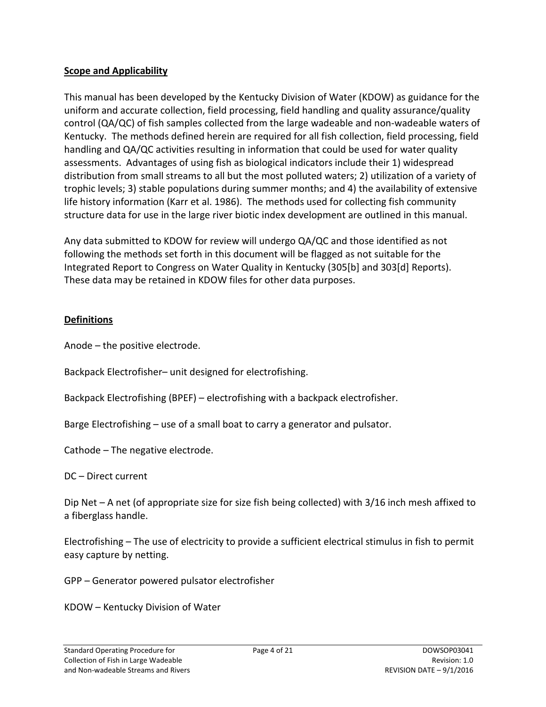#### <span id="page-3-0"></span>**Scope and Applicability**

This manual has been developed by the Kentucky Division of Water (KDOW) as guidance for the uniform and accurate collection, field processing, field handling and quality assurance/quality control (QA/QC) of fish samples collected from the large wadeable and non-wadeable waters of Kentucky. The methods defined herein are required for all fish collection, field processing, field handling and QA/QC activities resulting in information that could be used for water quality assessments. Advantages of using fish as biological indicators include their 1) widespread distribution from small streams to all but the most polluted waters; 2) utilization of a variety of trophic levels; 3) stable populations during summer months; and 4) the availability of extensive life history information (Karr et al. 1986). The methods used for collecting fish community structure data for use in the large river biotic index development are outlined in this manual.

Any data submitted to KDOW for review will undergo QA/QC and those identified as not following the methods set forth in this document will be flagged as not suitable for the Integrated Report to Congress on Water Quality in Kentucky (305[b] and 303[d] Reports). These data may be retained in KDOW files for other data purposes.

## <span id="page-3-1"></span>**Definitions**

Anode – the positive electrode.

Backpack Electrofisher– unit designed for electrofishing.

Backpack Electrofishing (BPEF) – electrofishing with a backpack electrofisher.

Barge Electrofishing – use of a small boat to carry a generator and pulsator.

Cathode – The negative electrode.

DC – Direct current

Dip Net – A net (of appropriate size for size fish being collected) with 3/16 inch mesh affixed to a fiberglass handle.

Electrofishing – The use of electricity to provide a sufficient electrical stimulus in fish to permit easy capture by netting.

GPP – Generator powered pulsator electrofisher

KDOW – Kentucky Division of Water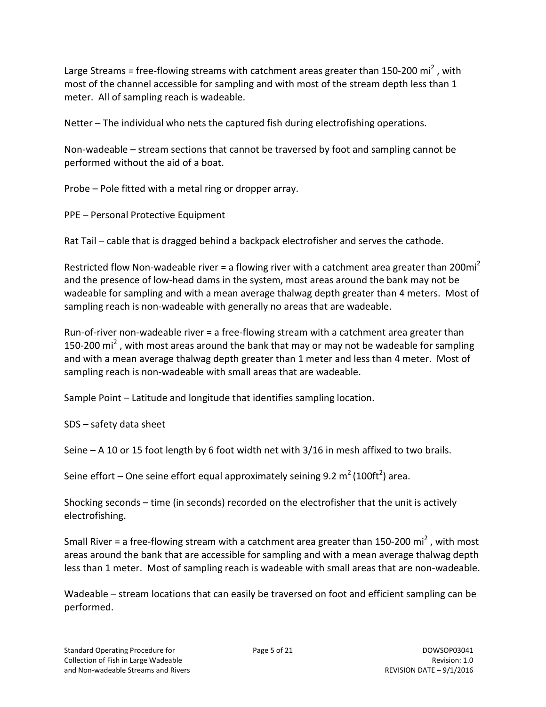Large Streams = free-flowing streams with catchment areas greater than 150-200 mi<sup>2</sup>, with most of the channel accessible for sampling and with most of the stream depth less than 1 meter. All of sampling reach is wadeable.

Netter – The individual who nets the captured fish during electrofishing operations.

Non-wadeable – stream sections that cannot be traversed by foot and sampling cannot be performed without the aid of a boat.

Probe – Pole fitted with a metal ring or dropper array.

PPE – Personal Protective Equipment

Rat Tail – cable that is dragged behind a backpack electrofisher and serves the cathode.

Restricted flow Non-wadeable river = a flowing river with a catchment area greater than 200 $mi^2$ and the presence of low-head dams in the system, most areas around the bank may not be wadeable for sampling and with a mean average thalwag depth greater than 4 meters. Most of sampling reach is non-wadeable with generally no areas that are wadeable.

Run-of-river non-wadeable river = a free-flowing stream with a catchment area greater than 150-200 mi<sup>2</sup>, with most areas around the bank that may or may not be wadeable for sampling and with a mean average thalwag depth greater than 1 meter and less than 4 meter. Most of sampling reach is non-wadeable with small areas that are wadeable.

Sample Point – Latitude and longitude that identifies sampling location.

SDS – safety data sheet

Seine – A 10 or 15 foot length by 6 foot width net with 3/16 in mesh affixed to two brails.

Seine effort – One seine effort equal approximately seining 9.2 m<sup>2</sup> (100ft<sup>2</sup>) area.

Shocking seconds – time (in seconds) recorded on the electrofisher that the unit is actively electrofishing.

Small River = a free-flowing stream with a catchment area greater than 150-200 mi<sup>2</sup>, with most areas around the bank that are accessible for sampling and with a mean average thalwag depth less than 1 meter. Most of sampling reach is wadeable with small areas that are non-wadeable.

Wadeable – stream locations that can easily be traversed on foot and efficient sampling can be performed.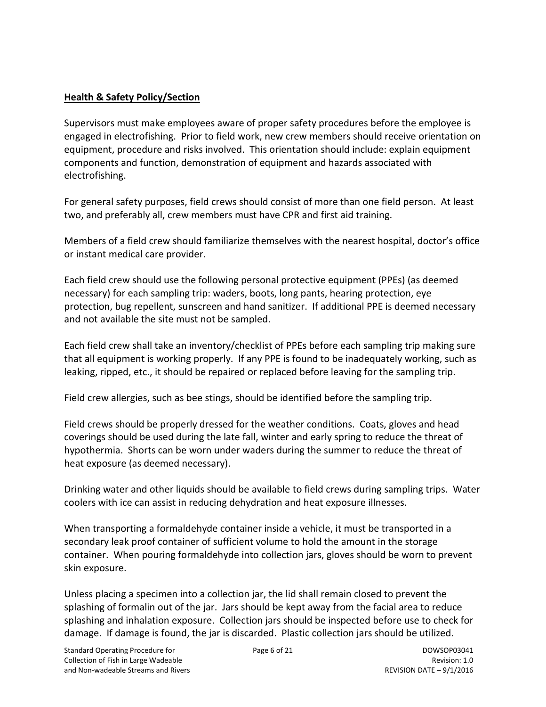## <span id="page-5-0"></span>**Health & Safety Policy/Section**

Supervisors must make employees aware of proper safety procedures before the employee is engaged in electrofishing. Prior to field work, new crew members should receive orientation on equipment, procedure and risks involved. This orientation should include: explain equipment components and function, demonstration of equipment and hazards associated with electrofishing.

For general safety purposes, field crews should consist of more than one field person. At least two, and preferably all, crew members must have CPR and first aid training.

Members of a field crew should familiarize themselves with the nearest hospital, doctor's office or instant medical care provider.

Each field crew should use the following personal protective equipment (PPEs) (as deemed necessary) for each sampling trip: waders, boots, long pants, hearing protection, eye protection, bug repellent, sunscreen and hand sanitizer. If additional PPE is deemed necessary and not available the site must not be sampled.

Each field crew shall take an inventory/checklist of PPEs before each sampling trip making sure that all equipment is working properly. If any PPE is found to be inadequately working, such as leaking, ripped, etc., it should be repaired or replaced before leaving for the sampling trip.

Field crew allergies, such as bee stings, should be identified before the sampling trip.

Field crews should be properly dressed for the weather conditions. Coats, gloves and head coverings should be used during the late fall, winter and early spring to reduce the threat of hypothermia. Shorts can be worn under waders during the summer to reduce the threat of heat exposure (as deemed necessary).

Drinking water and other liquids should be available to field crews during sampling trips. Water coolers with ice can assist in reducing dehydration and heat exposure illnesses.

When transporting a formaldehyde container inside a vehicle, it must be transported in a secondary leak proof container of sufficient volume to hold the amount in the storage container. When pouring formaldehyde into collection jars, gloves should be worn to prevent skin exposure.

Unless placing a specimen into a collection jar, the lid shall remain closed to prevent the splashing of formalin out of the jar. Jars should be kept away from the facial area to reduce splashing and inhalation exposure. Collection jars should be inspected before use to check for damage. If damage is found, the jar is discarded. Plastic collection jars should be utilized.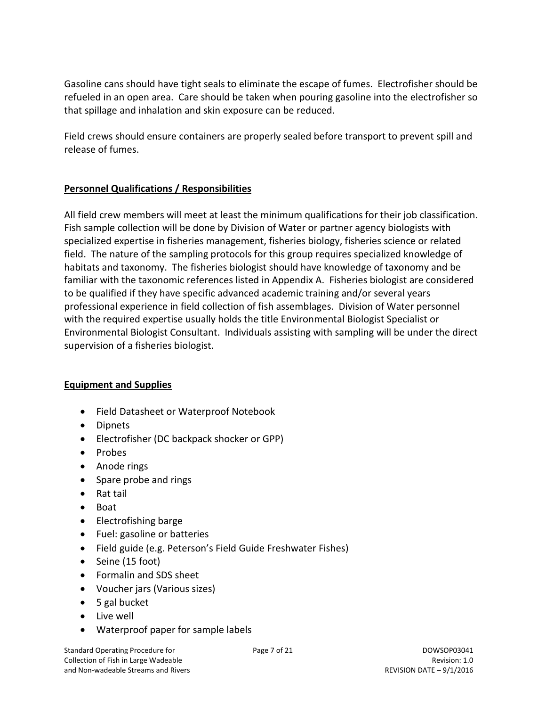Gasoline cans should have tight seals to eliminate the escape of fumes. Electrofisher should be refueled in an open area. Care should be taken when pouring gasoline into the electrofisher so that spillage and inhalation and skin exposure can be reduced.

Field crews should ensure containers are properly sealed before transport to prevent spill and release of fumes.

## <span id="page-6-0"></span>**Personnel Qualifications / Responsibilities**

All field crew members will meet at least the minimum qualifications for their job classification. Fish sample collection will be done by Division of Water or partner agency biologists with specialized expertise in fisheries management, fisheries biology, fisheries science or related field. The nature of the sampling protocols for this group requires specialized knowledge of habitats and taxonomy. The fisheries biologist should have knowledge of taxonomy and be familiar with the taxonomic references listed in Appendix A. Fisheries biologist are considered to be qualified if they have specific advanced academic training and/or several years professional experience in field collection of fish assemblages. Division of Water personnel with the required expertise usually holds the title Environmental Biologist Specialist or Environmental Biologist Consultant. Individuals assisting with sampling will be under the direct supervision of a fisheries biologist.

#### <span id="page-6-1"></span>**Equipment and Supplies**

- Field Datasheet or Waterproof Notebook
- Dipnets
- Electrofisher (DC backpack shocker or GPP)
- Probes
- Anode rings
- Spare probe and rings
- Rat tail
- Boat
- Electrofishing barge
- Fuel: gasoline or batteries
- Field guide (e.g. Peterson's Field Guide Freshwater Fishes)
- Seine (15 foot)
- Formalin and SDS sheet
- Voucher jars (Various sizes)
- 5 gal bucket
- Live well
- Waterproof paper for sample labels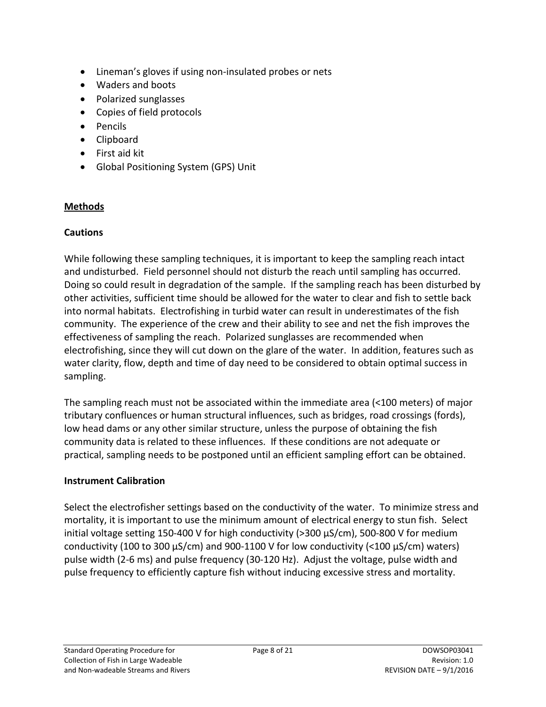- Lineman's gloves if using non-insulated probes or nets
- Waders and boots
- Polarized sunglasses
- Copies of field protocols
- Pencils
- Clipboard
- First aid kit
- Global Positioning System (GPS) Unit

## <span id="page-7-0"></span>**Methods**

#### <span id="page-7-1"></span>**Cautions**

While following these sampling techniques, it is important to keep the sampling reach intact and undisturbed. Field personnel should not disturb the reach until sampling has occurred. Doing so could result in degradation of the sample. If the sampling reach has been disturbed by other activities, sufficient time should be allowed for the water to clear and fish to settle back into normal habitats. Electrofishing in turbid water can result in underestimates of the fish community. The experience of the crew and their ability to see and net the fish improves the effectiveness of sampling the reach. Polarized sunglasses are recommended when electrofishing, since they will cut down on the glare of the water. In addition, features such as water clarity, flow, depth and time of day need to be considered to obtain optimal success in sampling.

The sampling reach must not be associated within the immediate area (<100 meters) of major tributary confluences or human structural influences, such as bridges, road crossings (fords), low head dams or any other similar structure, unless the purpose of obtaining the fish community data is related to these influences. If these conditions are not adequate or practical, sampling needs to be postponed until an efficient sampling effort can be obtained.

#### <span id="page-7-2"></span>**Instrument Calibration**

Select the electrofisher settings based on the conductivity of the water. To minimize stress and mortality, it is important to use the minimum amount of electrical energy to stun fish. Select initial voltage setting 150-400 V for high conductivity (>300 µS/cm), 500-800 V for medium conductivity (100 to 300 µS/cm) and 900-1100 V for low conductivity (<100 µS/cm) waters) pulse width (2-6 ms) and pulse frequency (30-120 Hz). Adjust the voltage, pulse width and pulse frequency to efficiently capture fish without inducing excessive stress and mortality.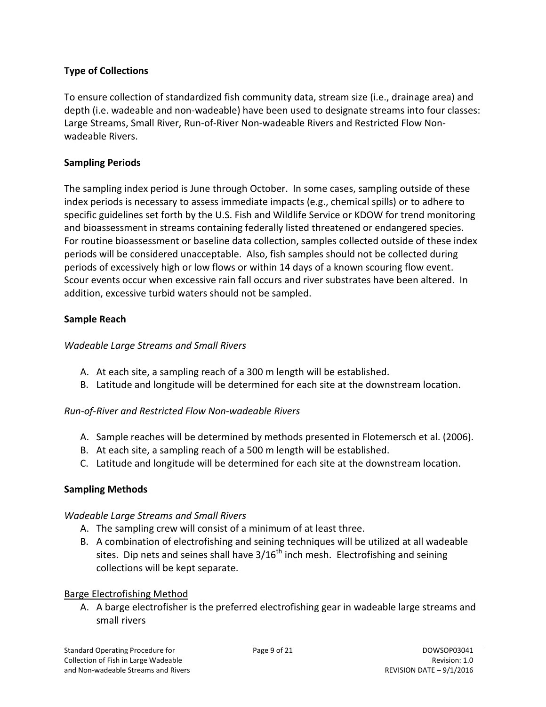## <span id="page-8-0"></span>**Type of Collections**

To ensure collection of standardized fish community data, stream size (i.e., drainage area) and depth (i.e. wadeable and non-wadeable) have been used to designate streams into four classes: Large Streams, Small River, Run-of-River Non-wadeable Rivers and Restricted Flow Nonwadeable Rivers.

## <span id="page-8-1"></span>**Sampling Periods**

The sampling index period is June through October. In some cases, sampling outside of these index periods is necessary to assess immediate impacts (e.g., chemical spills) or to adhere to specific guidelines set forth by the U.S. Fish and Wildlife Service or KDOW for trend monitoring and bioassessment in streams containing federally listed threatened or endangered species. For routine bioassessment or baseline data collection, samples collected outside of these index periods will be considered unacceptable. Also, fish samples should not be collected during periods of excessively high or low flows or within 14 days of a known scouring flow event. Scour events occur when excessive rain fall occurs and river substrates have been altered. In addition, excessive turbid waters should not be sampled.

## <span id="page-8-2"></span>**Sample Reach**

#### <span id="page-8-3"></span>*Wadeable Large Streams and Small Rivers*

- A. At each site, a sampling reach of a 300 m length will be established.
- B. Latitude and longitude will be determined for each site at the downstream location.

## <span id="page-8-4"></span>*Run-of-River and Restricted Flow Non-wadeable Rivers*

- A. Sample reaches will be determined by methods presented in Flotemersch et al. (2006).
- B. At each site, a sampling reach of a 500 m length will be established.
- C. Latitude and longitude will be determined for each site at the downstream location.

## <span id="page-8-5"></span>**Sampling Methods**

#### <span id="page-8-6"></span>*Wadeable Large Streams and Small Rivers*

- A. The sampling crew will consist of a minimum of at least three.
- B. A combination of electrofishing and seining techniques will be utilized at all wadeable sites. Dip nets and seines shall have  $3/16<sup>th</sup>$  inch mesh. Electrofishing and seining collections will be kept separate.

#### Barge Electrofishing Method

A. A barge electrofisher is the preferred electrofishing gear in wadeable large streams and small rivers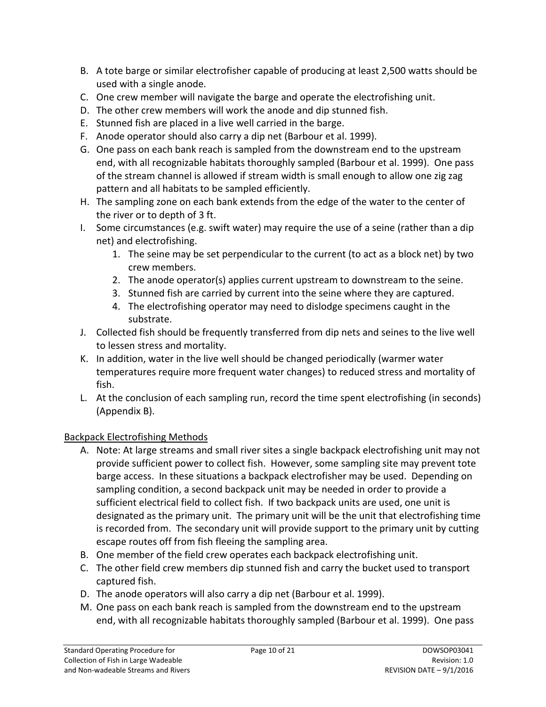- B. A tote barge or similar electrofisher capable of producing at least 2,500 watts should be used with a single anode.
- C. One crew member will navigate the barge and operate the electrofishing unit.
- D. The other crew members will work the anode and dip stunned fish.
- E. Stunned fish are placed in a live well carried in the barge.
- F. Anode operator should also carry a dip net (Barbour et al. 1999).
- G. One pass on each bank reach is sampled from the downstream end to the upstream end, with all recognizable habitats thoroughly sampled (Barbour et al. 1999). One pass of the stream channel is allowed if stream width is small enough to allow one zig zag pattern and all habitats to be sampled efficiently.
- H. The sampling zone on each bank extends from the edge of the water to the center of the river or to depth of 3 ft.
- I. Some circumstances (e.g. swift water) may require the use of a seine (rather than a dip net) and electrofishing.
	- 1. The seine may be set perpendicular to the current (to act as a block net) by two crew members.
	- 2. The anode operator(s) applies current upstream to downstream to the seine.
	- 3. Stunned fish are carried by current into the seine where they are captured.
	- 4. The electrofishing operator may need to dislodge specimens caught in the substrate.
- J. Collected fish should be frequently transferred from dip nets and seines to the live well to lessen stress and mortality.
- K. In addition, water in the live well should be changed periodically (warmer water temperatures require more frequent water changes) to reduced stress and mortality of fish.
- L. At the conclusion of each sampling run, record the time spent electrofishing (in seconds) (Appendix B).

# Backpack Electrofishing Methods

- A. Note: At large streams and small river sites a single backpack electrofishing unit may not provide sufficient power to collect fish. However, some sampling site may prevent tote barge access. In these situations a backpack electrofisher may be used. Depending on sampling condition, a second backpack unit may be needed in order to provide a sufficient electrical field to collect fish. If two backpack units are used, one unit is designated as the primary unit. The primary unit will be the unit that electrofishing time is recorded from. The secondary unit will provide support to the primary unit by cutting escape routes off from fish fleeing the sampling area.
- B. One member of the field crew operates each backpack electrofishing unit.
- C. The other field crew members dip stunned fish and carry the bucket used to transport captured fish.
- D. The anode operators will also carry a dip net (Barbour et al. 1999).
- M. One pass on each bank reach is sampled from the downstream end to the upstream end, with all recognizable habitats thoroughly sampled (Barbour et al. 1999). One pass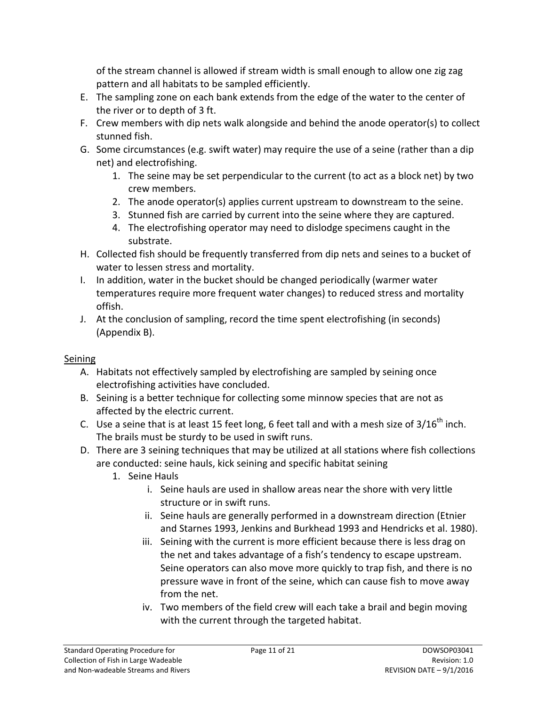of the stream channel is allowed if stream width is small enough to allow one zig zag pattern and all habitats to be sampled efficiently.

- E. The sampling zone on each bank extends from the edge of the water to the center of the river or to depth of 3 ft.
- F. Crew members with dip nets walk alongside and behind the anode operator(s) to collect stunned fish.
- G. Some circumstances (e.g. swift water) may require the use of a seine (rather than a dip net) and electrofishing.
	- 1. The seine may be set perpendicular to the current (to act as a block net) by two crew members.
	- 2. The anode operator(s) applies current upstream to downstream to the seine.
	- 3. Stunned fish are carried by current into the seine where they are captured.
	- 4. The electrofishing operator may need to dislodge specimens caught in the substrate.
- H. Collected fish should be frequently transferred from dip nets and seines to a bucket of water to lessen stress and mortality.
- I. In addition, water in the bucket should be changed periodically (warmer water temperatures require more frequent water changes) to reduced stress and mortality offish.
- J. At the conclusion of sampling, record the time spent electrofishing (in seconds) (Appendix B).

## Seining

- A. Habitats not effectively sampled by electrofishing are sampled by seining once electrofishing activities have concluded.
- B. Seining is a better technique for collecting some minnow species that are not as affected by the electric current.
- C. Use a seine that is at least 15 feet long, 6 feet tall and with a mesh size of  $3/16^{th}$  inch. The brails must be sturdy to be used in swift runs.
- D. There are 3 seining techniques that may be utilized at all stations where fish collections are conducted: seine hauls, kick seining and specific habitat seining
	- 1. Seine Hauls
		- i. Seine hauls are used in shallow areas near the shore with very little structure or in swift runs.
		- ii. Seine hauls are generally performed in a downstream direction (Etnier and Starnes 1993, Jenkins and Burkhead 1993 and Hendricks et al. 1980).
		- iii. Seining with the current is more efficient because there is less drag on the net and takes advantage of a fish's tendency to escape upstream. Seine operators can also move more quickly to trap fish, and there is no pressure wave in front of the seine, which can cause fish to move away from the net.
		- iv. Two members of the field crew will each take a brail and begin moving with the current through the targeted habitat.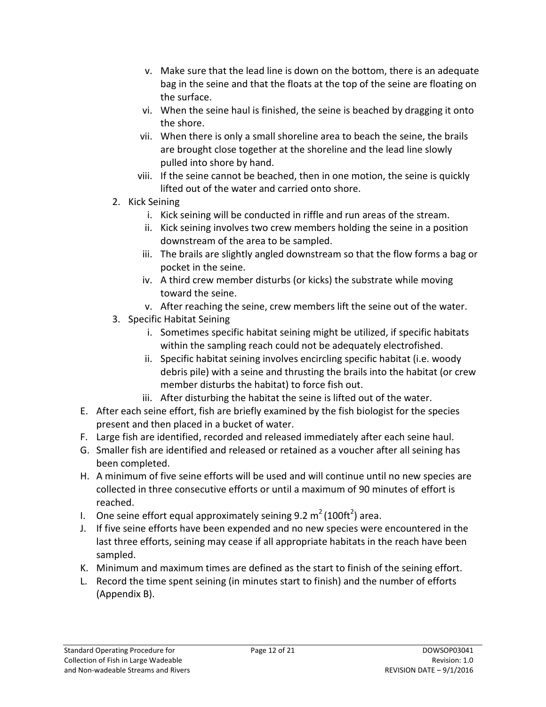- v. Make sure that the lead line is down on the bottom, there is an adequate bag in the seine and that the floats at the top of the seine are floating on the surface.
- vi. When the seine haul is finished, the seine is beached by dragging it onto the shore.
- vii. When there is only a small shoreline area to beach the seine, the brails are brought close together at the shoreline and the lead line slowly pulled into shore by hand.
- viii. If the seine cannot be beached, then in one motion, the seine is quickly lifted out of the water and carried onto shore.
- 2. Kick Seining
	- i. Kick seining will be conducted in riffle and run areas of the stream.
	- ii. Kick seining involves two crew members holding the seine in a position downstream of the area to be sampled.
	- iii. The brails are slightly angled downstream so that the flow forms a bag or pocket in the seine.
	- iv. A third crew member disturbs (or kicks) the substrate while moving toward the seine.
	- v. After reaching the seine, crew members lift the seine out of the water.
- 3. Specific Habitat Seining
	- i. Sometimes specific habitat seining might be utilized, if specific habitats within the sampling reach could not be adequately electrofished.
	- ii. Specific habitat seining involves encircling specific habitat (i.e. woody debris pile) with a seine and thrusting the brails into the habitat (or crew member disturbs the habitat) to force fish out.
	- iii. After disturbing the habitat the seine is lifted out of the water.
- E. After each seine effort, fish are briefly examined by the fish biologist for the species present and then placed in a bucket of water.
- F. Large fish are identified, recorded and released immediately after each seine haul.
- G. Smaller fish are identified and released or retained as a voucher after all seining has been completed.
- H. A minimum of five seine efforts will be used and will continue until no new species are collected in three consecutive efforts or until a maximum of 90 minutes of effort is reached.
- I. One seine effort equal approximately seining 9.2  $m^2$  (100ft<sup>2</sup>) area.
- J. If five seine efforts have been expended and no new species were encountered in the last three efforts, seining may cease if all appropriate habitats in the reach have been sampled.
- K. Minimum and maximum times are defined as the start to finish of the seining effort.
- L. Record the time spent seining (in minutes start to finish) and the number of efforts (Appendix B).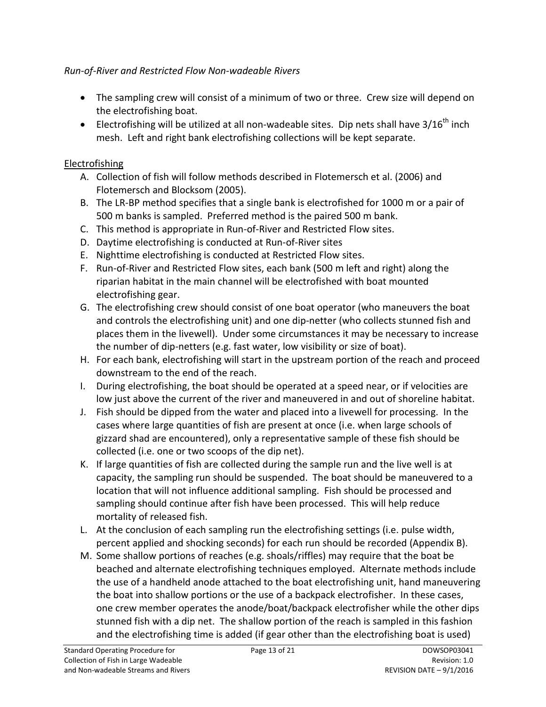## <span id="page-12-0"></span>*Run-of-River and Restricted Flow Non-wadeable Rivers*

- The sampling crew will consist of a minimum of two or three. Crew size will depend on the electrofishing boat.
- Electrofishing will be utilized at all non-wadeable sites. Dip nets shall have  $3/16^{th}$  inch mesh. Left and right bank electrofishing collections will be kept separate.

## **Electrofishing**

- A. Collection of fish will follow methods described in Flotemersch et al. (2006) and Flotemersch and Blocksom (2005).
- B. The LR-BP method specifies that a single bank is electrofished for 1000 m or a pair of 500 m banks is sampled. Preferred method is the paired 500 m bank.
- C. This method is appropriate in Run-of-River and Restricted Flow sites.
- D. Daytime electrofishing is conducted at Run-of-River sites
- E. Nighttime electrofishing is conducted at Restricted Flow sites.
- F. Run-of-River and Restricted Flow sites, each bank (500 m left and right) along the riparian habitat in the main channel will be electrofished with boat mounted electrofishing gear.
- G. The electrofishing crew should consist of one boat operator (who maneuvers the boat and controls the electrofishing unit) and one dip-netter (who collects stunned fish and places them in the livewell). Under some circumstances it may be necessary to increase the number of dip-netters (e.g. fast water, low visibility or size of boat).
- H. For each bank, electrofishing will start in the upstream portion of the reach and proceed downstream to the end of the reach.
- I. During electrofishing, the boat should be operated at a speed near, or if velocities are low just above the current of the river and maneuvered in and out of shoreline habitat.
- J. Fish should be dipped from the water and placed into a livewell for processing. In the cases where large quantities of fish are present at once (i.e. when large schools of gizzard shad are encountered), only a representative sample of these fish should be collected (i.e. one or two scoops of the dip net).
- K. If large quantities of fish are collected during the sample run and the live well is at capacity, the sampling run should be suspended. The boat should be maneuvered to a location that will not influence additional sampling. Fish should be processed and sampling should continue after fish have been processed. This will help reduce mortality of released fish.
- L. At the conclusion of each sampling run the electrofishing settings (i.e. pulse width, percent applied and shocking seconds) for each run should be recorded (Appendix B).
- M. Some shallow portions of reaches (e.g. shoals/riffles) may require that the boat be beached and alternate electrofishing techniques employed. Alternate methods include the use of a handheld anode attached to the boat electrofishing unit, hand maneuvering the boat into shallow portions or the use of a backpack electrofisher. In these cases, one crew member operates the anode/boat/backpack electrofisher while the other dips stunned fish with a dip net. The shallow portion of the reach is sampled in this fashion and the electrofishing time is added (if gear other than the electrofishing boat is used)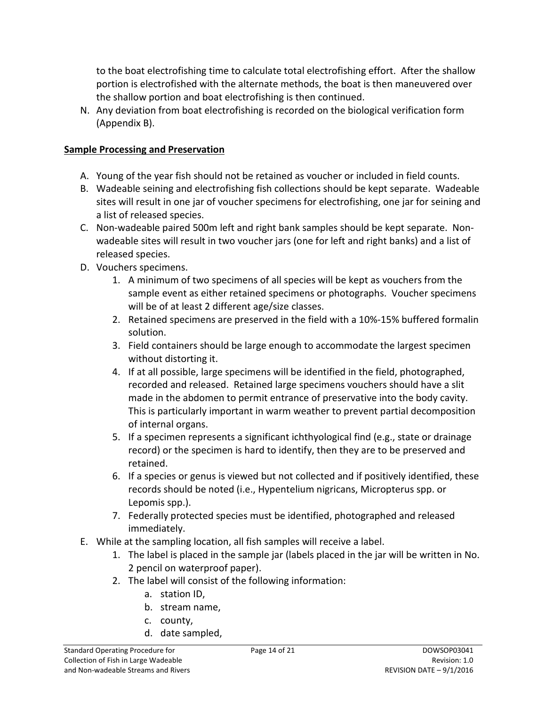to the boat electrofishing time to calculate total electrofishing effort. After the shallow portion is electrofished with the alternate methods, the boat is then maneuvered over the shallow portion and boat electrofishing is then continued.

N. Any deviation from boat electrofishing is recorded on the biological verification form (Appendix B).

## <span id="page-13-0"></span>**Sample Processing and Preservation**

- A. Young of the year fish should not be retained as voucher or included in field counts.
- B. Wadeable seining and electrofishing fish collections should be kept separate. Wadeable sites will result in one jar of voucher specimens for electrofishing, one jar for seining and a list of released species.
- C. Non-wadeable paired 500m left and right bank samples should be kept separate. Nonwadeable sites will result in two voucher jars (one for left and right banks) and a list of released species.
- D. Vouchers specimens.
	- 1. A minimum of two specimens of all species will be kept as vouchers from the sample event as either retained specimens or photographs. Voucher specimens will be of at least 2 different age/size classes.
	- 2. Retained specimens are preserved in the field with a 10%-15% buffered formalin solution.
	- 3. Field containers should be large enough to accommodate the largest specimen without distorting it.
	- 4. If at all possible, large specimens will be identified in the field, photographed, recorded and released. Retained large specimens vouchers should have a slit made in the abdomen to permit entrance of preservative into the body cavity. This is particularly important in warm weather to prevent partial decomposition of internal organs.
	- 5. If a specimen represents a significant ichthyological find (e.g., state or drainage record) or the specimen is hard to identify, then they are to be preserved and retained.
	- 6. If a species or genus is viewed but not collected and if positively identified, these records should be noted (i.e., Hypentelium nigricans, Micropterus spp. or Lepomis spp.).
	- 7. Federally protected species must be identified, photographed and released immediately.
- E. While at the sampling location, all fish samples will receive a label.
	- 1. The label is placed in the sample jar (labels placed in the jar will be written in No. 2 pencil on waterproof paper).
	- 2. The label will consist of the following information:
		- a. station ID,
		- b. stream name,
		- c. county,
		- d. date sampled,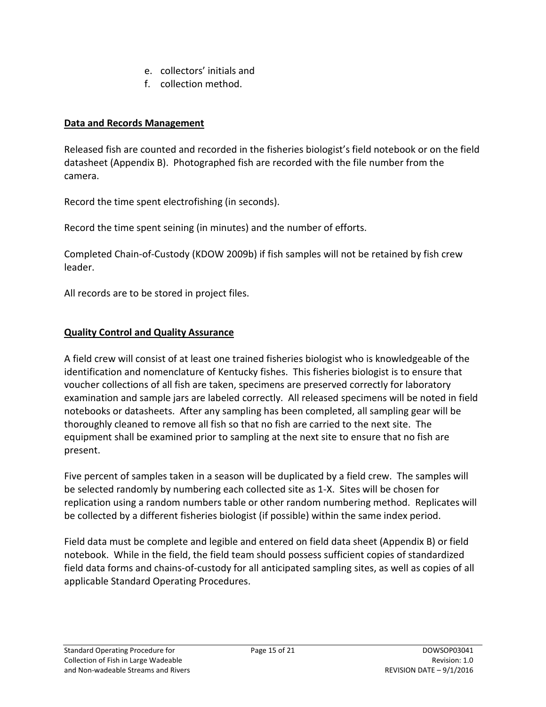- e. collectors' initials and
- f. collection method.

#### <span id="page-14-0"></span>**Data and Records Management**

Released fish are counted and recorded in the fisheries biologist's field notebook or on the field datasheet (Appendix B). Photographed fish are recorded with the file number from the camera.

Record the time spent electrofishing (in seconds).

Record the time spent seining (in minutes) and the number of efforts.

Completed Chain-of-Custody (KDOW 2009b) if fish samples will not be retained by fish crew leader.

All records are to be stored in project files.

#### <span id="page-14-1"></span>**Quality Control and Quality Assurance**

A field crew will consist of at least one trained fisheries biologist who is knowledgeable of the identification and nomenclature of Kentucky fishes. This fisheries biologist is to ensure that voucher collections of all fish are taken, specimens are preserved correctly for laboratory examination and sample jars are labeled correctly. All released specimens will be noted in field notebooks or datasheets. After any sampling has been completed, all sampling gear will be thoroughly cleaned to remove all fish so that no fish are carried to the next site. The equipment shall be examined prior to sampling at the next site to ensure that no fish are present.

Five percent of samples taken in a season will be duplicated by a field crew. The samples will be selected randomly by numbering each collected site as 1-X. Sites will be chosen for replication using a random numbers table or other random numbering method. Replicates will be collected by a different fisheries biologist (if possible) within the same index period.

Field data must be complete and legible and entered on field data sheet (Appendix B) or field notebook. While in the field, the field team should possess sufficient copies of standardized field data forms and chains-of-custody for all anticipated sampling sites, as well as copies of all applicable Standard Operating Procedures.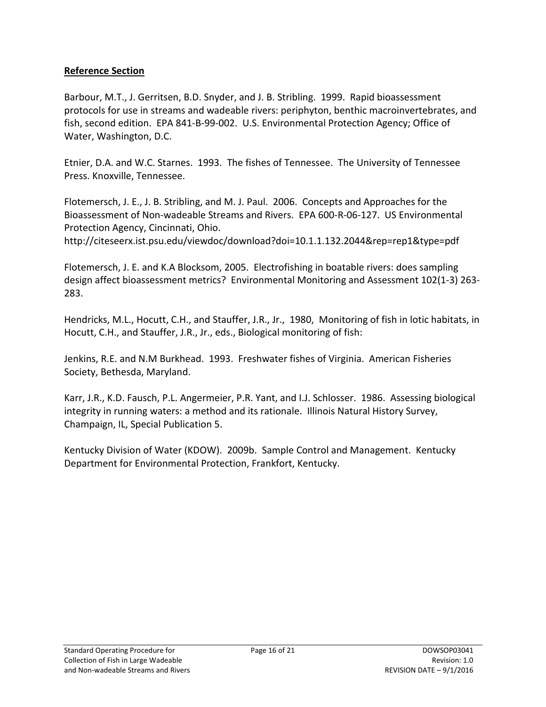#### <span id="page-15-0"></span>**Reference Section**

Barbour, M.T., J. Gerritsen, B.D. Snyder, and J. B. Stribling. 1999. Rapid bioassessment protocols for use in streams and wadeable rivers: periphyton, benthic macroinvertebrates, and fish, second edition. EPA 841-B-99-002. U.S. Environmental Protection Agency; Office of Water, Washington, D.C.

Etnier, D.A. and W.C. Starnes. 1993. The fishes of Tennessee. The University of Tennessee Press. Knoxville, Tennessee.

Flotemersch, J. E., J. B. Stribling, and M. J. Paul. 2006. Concepts and Approaches for the Bioassessment of Non-wadeable Streams and Rivers. EPA 600-R-06-127. US Environmental Protection Agency, Cincinnati, Ohio.

http://citeseerx.ist.psu.edu/viewdoc/download?doi=10.1.1.132.2044&rep=rep1&type=pdf

Flotemersch, J. E. and K.A Blocksom, 2005. Electrofishing in boatable rivers: does sampling design affect bioassessment metrics? Environmental Monitoring and Assessment 102(1-3) 263- 283.

Hendricks, M.L., Hocutt, C.H., and Stauffer, J.R., Jr., 1980, Monitoring of fish in lotic habitats, in Hocutt, C.H., and Stauffer, J.R., Jr., eds., Biological monitoring of fish:

Jenkins, R.E. and N.M Burkhead. 1993. Freshwater fishes of Virginia. American Fisheries Society, Bethesda, Maryland.

Karr, J.R., K.D. Fausch, P.L. Angermeier, P.R. Yant, and I.J. Schlosser. 1986. Assessing biological integrity in running waters: a method and its rationale. Illinois Natural History Survey, Champaign, IL, Special Publication 5.

Kentucky Division of Water (KDOW). 2009b. Sample Control and Management. Kentucky Department for Environmental Protection, Frankfort, Kentucky.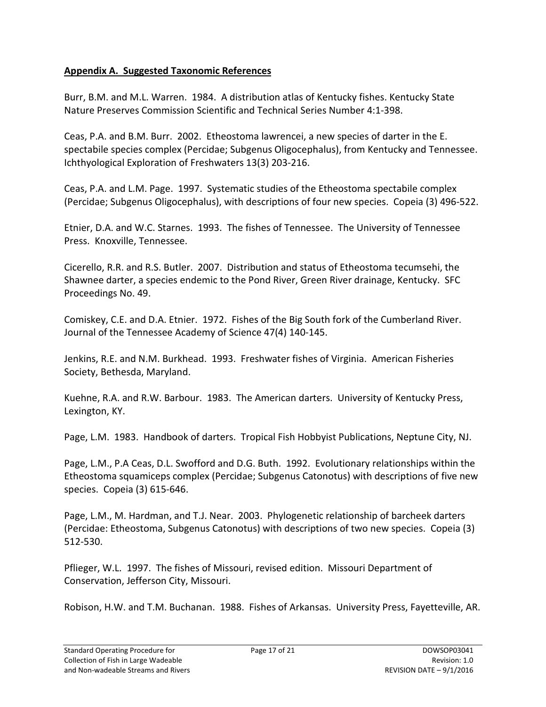#### <span id="page-16-0"></span>**Appendix A. Suggested Taxonomic References**

Burr, B.M. and M.L. Warren. 1984. A distribution atlas of Kentucky fishes. Kentucky State Nature Preserves Commission Scientific and Technical Series Number 4:1-398.

Ceas, P.A. and B.M. Burr. 2002. Etheostoma lawrencei, a new species of darter in the E. spectabile species complex (Percidae; Subgenus Oligocephalus), from Kentucky and Tennessee. Ichthyological Exploration of Freshwaters 13(3) 203-216.

Ceas, P.A. and L.M. Page. 1997. Systematic studies of the Etheostoma spectabile complex (Percidae; Subgenus Oligocephalus), with descriptions of four new species. Copeia (3) 496-522.

Etnier, D.A. and W.C. Starnes. 1993. The fishes of Tennessee. The University of Tennessee Press. Knoxville, Tennessee.

Cicerello, R.R. and R.S. Butler. 2007. Distribution and status of Etheostoma tecumsehi, the Shawnee darter, a species endemic to the Pond River, Green River drainage, Kentucky. SFC Proceedings No. 49.

Comiskey, C.E. and D.A. Etnier. 1972. Fishes of the Big South fork of the Cumberland River. Journal of the Tennessee Academy of Science 47(4) 140-145.

Jenkins, R.E. and N.M. Burkhead. 1993. Freshwater fishes of Virginia. American Fisheries Society, Bethesda, Maryland.

Kuehne, R.A. and R.W. Barbour. 1983. The American darters. University of Kentucky Press, Lexington, KY.

Page, L.M. 1983. Handbook of darters. Tropical Fish Hobbyist Publications, Neptune City, NJ.

Page, L.M., P.A Ceas, D.L. Swofford and D.G. Buth. 1992. Evolutionary relationships within the Etheostoma squamiceps complex (Percidae; Subgenus Catonotus) with descriptions of five new species. Copeia (3) 615-646.

Page, L.M., M. Hardman, and T.J. Near. 2003. Phylogenetic relationship of barcheek darters (Percidae: Etheostoma, Subgenus Catonotus) with descriptions of two new species. Copeia (3) 512-530.

Pflieger, W.L. 1997. The fishes of Missouri, revised edition. Missouri Department of Conservation, Jefferson City, Missouri.

Robison, H.W. and T.M. Buchanan. 1988. Fishes of Arkansas. University Press, Fayetteville, AR.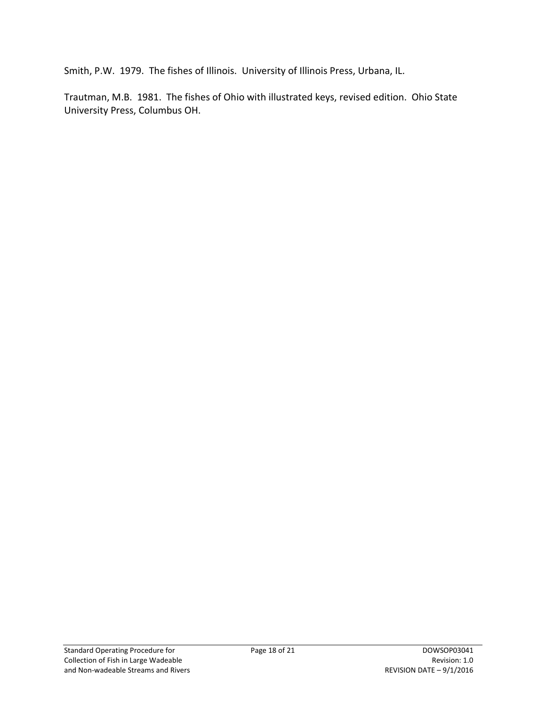Smith, P.W. 1979. The fishes of Illinois. University of Illinois Press, Urbana, IL.

Trautman, M.B. 1981. The fishes of Ohio with illustrated keys, revised edition. Ohio State University Press, Columbus OH.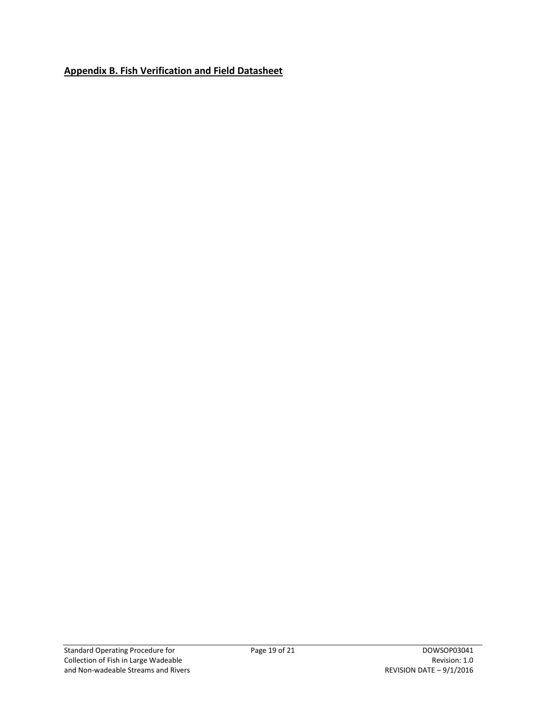## <span id="page-18-0"></span>**Appendix B. Fish Verification and Field Datasheet**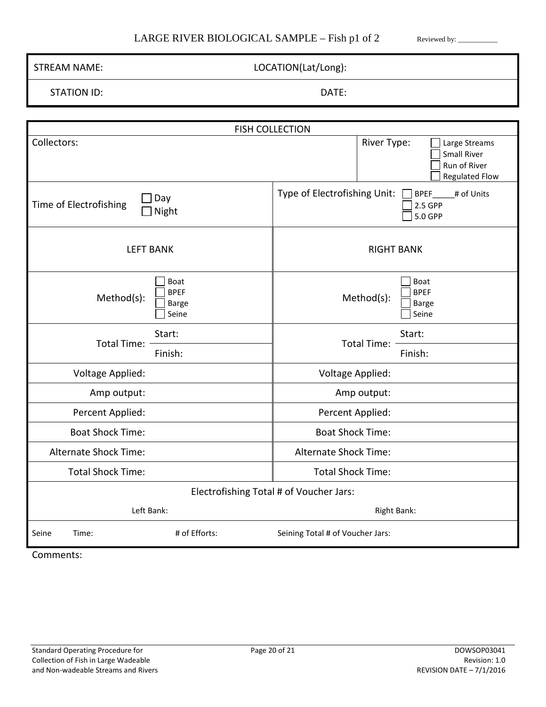#### LARGE RIVER BIOLOGICAL SAMPLE – Fish p1 of 2 Reviewed by: \_\_\_\_\_\_\_\_\_\_\_

| LOCATION(Lat/Long):<br><b>STREAM NAME:</b>                 |                                                                                             |  |  |  |  |
|------------------------------------------------------------|---------------------------------------------------------------------------------------------|--|--|--|--|
| <b>STATION ID:</b>                                         | DATE:                                                                                       |  |  |  |  |
|                                                            |                                                                                             |  |  |  |  |
|                                                            | <b>FISH COLLECTION</b>                                                                      |  |  |  |  |
| Collectors:                                                | River Type:<br>Large Streams<br><b>Small River</b><br>Run of River<br><b>Regulated Flow</b> |  |  |  |  |
| Day<br>Time of Electrofishing<br>Night                     | Type of Electrofishing Unit:<br># of Units<br><b>BPEF</b><br>2.5 GPP<br>5.0 GPP             |  |  |  |  |
| <b>LEFT BANK</b>                                           | <b>RIGHT BANK</b>                                                                           |  |  |  |  |
| Boat<br><b>BPEF</b><br>Method(s):<br><b>Barge</b><br>Seine | Boat<br><b>BPEF</b><br>Method(s):<br><b>Barge</b><br>Seine                                  |  |  |  |  |
| Start:<br><b>Total Time:</b><br>Finish:                    | Start:<br><b>Total Time:</b><br>Finish:                                                     |  |  |  |  |
| <b>Voltage Applied:</b>                                    | Voltage Applied:                                                                            |  |  |  |  |
| Amp output:                                                | Amp output:                                                                                 |  |  |  |  |
| Percent Applied:                                           | Percent Applied:                                                                            |  |  |  |  |
| <b>Boat Shock Time:</b>                                    | <b>Boat Shock Time:</b>                                                                     |  |  |  |  |
| <b>Alternate Shock Time:</b>                               | <b>Alternate Shock Time:</b>                                                                |  |  |  |  |
| <b>Total Shock Time:</b>                                   | <b>Total Shock Time:</b>                                                                    |  |  |  |  |
| Electrofishing Total # of Voucher Jars:                    |                                                                                             |  |  |  |  |
| Left Bank:<br><b>Right Bank:</b>                           |                                                                                             |  |  |  |  |
| # of Efforts:<br>Seine<br>Time:                            | Seining Total # of Voucher Jars:                                                            |  |  |  |  |
| Comments:                                                  |                                                                                             |  |  |  |  |

Г